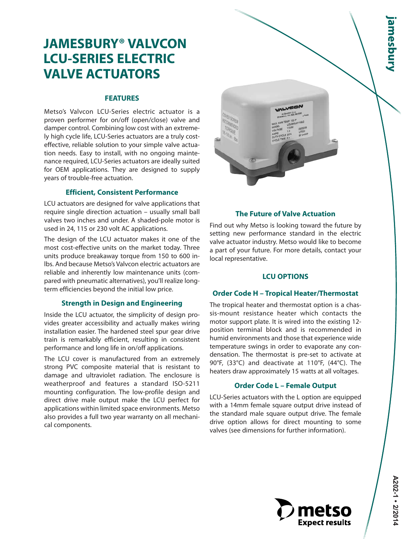# **JAMESBURY® VALVCON LCU-SERIES ELECTRIC VALVE ACTUATORS**

# **FEATURES**

Metso's Valvcon LCU-Series electric actuator is a proven performer for on/off (open/close) valve and damper control. Combining low cost with an extremely high cycle life, LCU-Series actuators are a truly costeffective, reliable solution to your simple valve actuation needs. Easy to install, with no ongoing maintenance required, LCU-Series actuators are ideally suited for OEM applications. They are designed to supply years of trouble-free actuation.

# **Efficient, Consistent Performance**

LCU actuators are designed for valve applications that require single direction actuation – usually small ball valves two inches and under. A shaded-pole motor is used in 24, 115 or 230 volt AC applications.

The design of the LCU actuator makes it one of the most cost-effective units on the market today. Three units produce breakaway torque from 150 to 600 inlbs. And because Metso's Valvcon electric actuators are reliable and inherently low maintenance units (compared with pneumatic alternatives), you'll realize longterm efficiencies beyond the initial low price.

# **Strength in Design and Engineering**

Inside the LCU actuator, the simplicity of design provides greater accessibility and actually makes wiring installation easier. The hardened steel spur gear drive train is remarkably efficient, resulting in consistent performance and long life in on/off applications.

The LCU cover is manufactured from an extremely strong PVC composite material that is resistant to damage and ultraviolet radiation. The enclosure is weatherproof and features a standard ISO-5211 mounting configuration. The low-profile design and direct drive male output make the LCU perfect for applications within limited space environments. Metso also provides a full two year warranty on all mechanical components.



# **The Future of Valve Actuation**

Find out why Metso is looking toward the future by setting new performance standard in the electric valve actuator industry. Metso would like to become a part of your future. For more details, contact your local representative.

# **LCU OPTIONS**

# **Order Code H – Tropical Heater/Thermostat**

The tropical heater and thermostat option is a chassis-mount resistance heater which contacts the motor support plate. It is wired into the existing 12 position terminal block and is recommended in humid environments and those that experience wide temperature swings in order to evaporate any condensation. The thermostat is pre-set to activate at 90°F, (33°C) and deactivate at 110°F, (44°C). The heaters draw approximately 15 watts at all voltages.

# **Order Code L – Female Output**

LCU-Series actuators with the L option are equipped with a 14mm female square output drive instead of the standard male square output drive. The female drive option allows for direct mounting to some valves (see dimensions for further information).

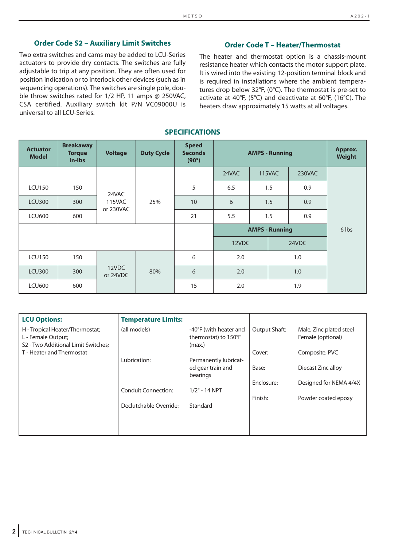# **Order Code S2 – Auxiliary Limit Switches**

Two extra switches and cams may be added to LCU-Series actuators to provide dry contacts. The switches are fully adjustable to trip at any position. They are often used for position indication or to interlock other devices (such as in sequencing operations). The switches are single pole, double throw switches rated for 1/2 HP, 11 amps @ 250VAC, CSA certified. Auxiliary switch kit P/N VC09000U is universal to all LCU-Series.

### **Order Code T – Heater/Thermostat**

The heater and thermostat option is a chassis-mount resistance heater which contacts the motor support plate. It is wired into the existing 12-position terminal block and is required in installations where the ambient temperatures drop below 32°F, (0°C). The thermostat is pre-set to activate at 40°F, (5°C) and deactivate at 60°F, (16°C). The heaters draw approximately 15 watts at all voltages.

#### **SPECIFICATIONS**

| <b>Actuator</b><br><b>Model</b> | <b>Breakaway</b><br><b>Torque</b><br>in-Ibs | <b>Voltage</b>    | <b>Duty Cycle</b> | <b>Speed</b><br><b>Seconds</b><br>$(90^\circ)$ | <b>AMPS - Running</b> |       |               |        | Approx.<br><b>Weight</b> |  |
|---------------------------------|---------------------------------------------|-------------------|-------------------|------------------------------------------------|-----------------------|-------|---------------|--------|--------------------------|--|
|                                 |                                             |                   |                   |                                                | 24VAC                 |       | <b>115VAC</b> | 230VAC |                          |  |
| <b>LCU150</b>                   | 150                                         | 24VAC<br>115VAC   |                   |                                                | 5                     | 6.5   |               | 1.5    | 0.9                      |  |
| <b>LCU300</b>                   | 300                                         |                   |                   | 25%                                            | 10                    | 6     | 1.5           |        | 0.9                      |  |
| <b>LCU600</b>                   | 600                                         | or 230VAC         |                   | 21                                             | 5.5                   |       | 1.5           | 0.9    |                          |  |
|                                 |                                             |                   |                   | <b>AMPS - Running</b>                          |                       |       | 6 lbs         |        |                          |  |
|                                 |                                             |                   |                   | 12VDC                                          |                       | 24VDC |               |        |                          |  |
| <b>LCU150</b>                   | 150                                         |                   |                   | 6                                              | 2.0                   |       |               | 1.0    |                          |  |
| <b>LCU300</b>                   | 300                                         | 12VDC<br>or 24VDC |                   | 80%                                            | 6                     | 2.0   |               |        | 1.0                      |  |
| <b>LCU600</b>                   | 600                                         |                   |                   | 15                                             | 2.0                   |       |               | 1.9    |                          |  |

| <b>LCU Options:</b>                                                                          | <b>Temperature Limits:</b> |                                                          |               |                                              |
|----------------------------------------------------------------------------------------------|----------------------------|----------------------------------------------------------|---------------|----------------------------------------------|
| H - Tropical Heater/Thermostat;<br>L - Female Output;<br>S2 - Two Additional Limit Switches; | (all models)               | -40°F (with heater and<br>thermostat) to 150°F<br>(max.) | Output Shaft: | Male, Zinc plated steel<br>Female (optional) |
| T - Heater and Thermostat                                                                    |                            |                                                          | Cover:        | Composite, PVC                               |
|                                                                                              | Lubrication:               | Permanently lubricat-                                    |               |                                              |
|                                                                                              |                            | ed gear train and<br>bearings                            | Base:         | Diecast Zinc alloy                           |
|                                                                                              |                            |                                                          | Enclosure:    | Designed for NEMA 4/4X                       |
|                                                                                              | <b>Conduit Connection:</b> | $1/2" - 14 NPT$                                          |               |                                              |
|                                                                                              |                            |                                                          | Finish:       | Powder coated epoxy                          |
|                                                                                              | Declutchable Override:     | Standard                                                 |               |                                              |
|                                                                                              |                            |                                                          |               |                                              |
|                                                                                              |                            |                                                          |               |                                              |
|                                                                                              |                            |                                                          |               |                                              |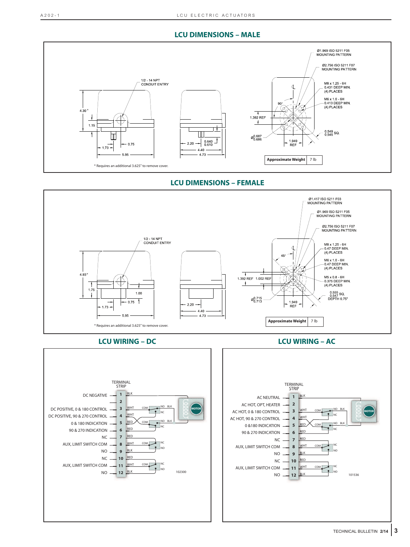# **LCU DIMENSIONS – MALE**